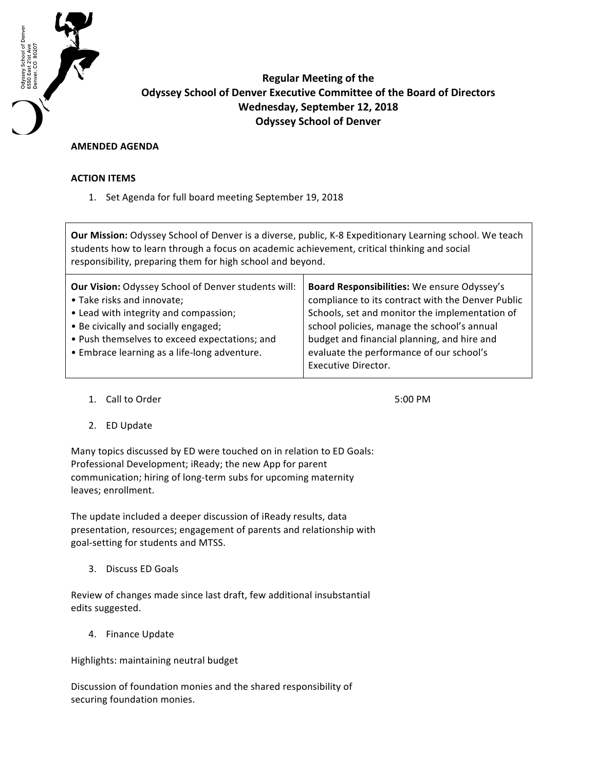

**Regular Meeting of the Odyssey School of Denver Executive Committee of the Board of Directors Wednesday, September 12, 2018 Odyssey School of Denver**

## **AMENDED AGENDA**

## **ACTION ITEMS**

1. Set Agenda for full board meeting September 19, 2018

**Our Mission:** Odyssey School of Denver is a diverse, public, K-8 Expeditionary Learning school. We teach students how to learn through a focus on academic achievement, critical thinking and social responsibility, preparing them for high school and beyond.

| <b>Our Vision: Odyssey School of Denver students will:</b> | Board Responsibilities: We ensure Odyssey's       |
|------------------------------------------------------------|---------------------------------------------------|
| • Take risks and innovate;                                 | compliance to its contract with the Denver Public |
| • Lead with integrity and compassion;                      | Schools, set and monitor the implementation of    |
| • Be civically and socially engaged;                       | school policies, manage the school's annual       |
| • Push themselves to exceed expectations; and              | budget and financial planning, and hire and       |
| • Embrace learning as a life-long adventure.               | evaluate the performance of our school's          |
|                                                            | <b>Executive Director.</b>                        |
|                                                            |                                                   |

1. Call to Order 5:00 PM

2. ED Update

Many topics discussed by ED were touched on in relation to ED Goals: Professional Development; iReady; the new App for parent communication; hiring of long-term subs for upcoming maternity leaves; enrollment.

The update included a deeper discussion of iReady results, data presentation, resources; engagement of parents and relationship with goal-setting for students and MTSS.

3. Discuss ED Goals

Review of changes made since last draft, few additional insubstantial edits suggested.

4. Finance Update

Highlights: maintaining neutral budget

Discussion of foundation monies and the shared responsibility of securing foundation monies.